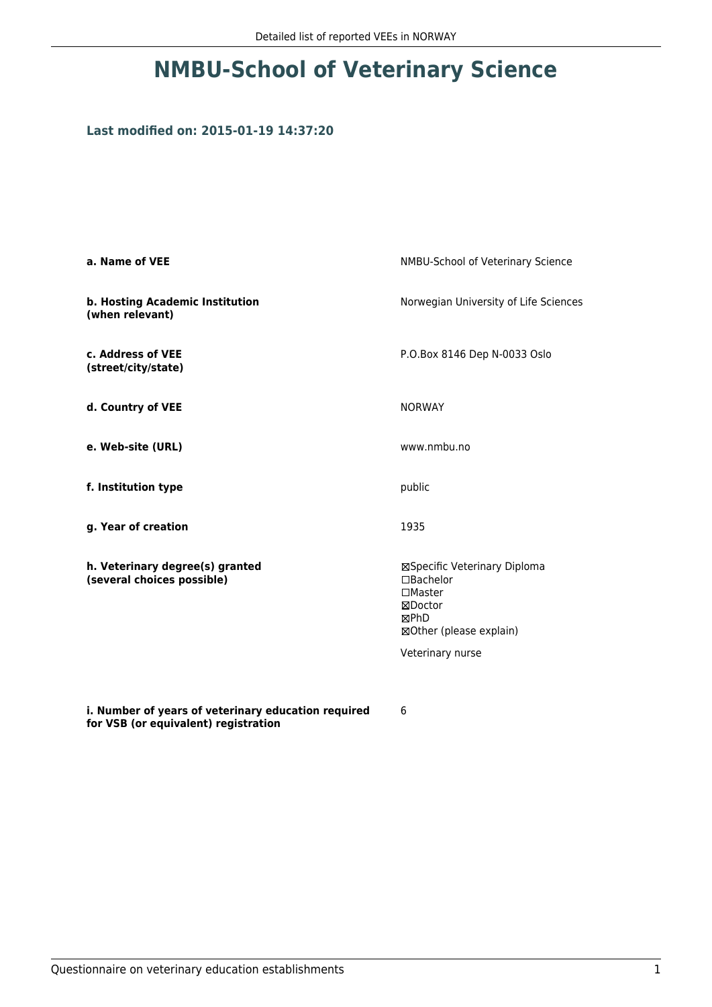## **NMBU-School of Veterinary Science**

## **Last modified on: 2015-01-19 14:37:20**

| a. Name of VEE                                                                              | NMBU-School of Veterinary Science                                                                        |  |
|---------------------------------------------------------------------------------------------|----------------------------------------------------------------------------------------------------------|--|
| b. Hosting Academic Institution<br>(when relevant)                                          | Norwegian University of Life Sciences                                                                    |  |
| c. Address of VEE<br>(street/city/state)                                                    | P.O.Box 8146 Dep N-0033 Oslo                                                                             |  |
| d. Country of VEE                                                                           | <b>NORWAY</b>                                                                                            |  |
| e. Web-site (URL)                                                                           | www.nmbu.no                                                                                              |  |
| f. Institution type                                                                         | public<br>1935                                                                                           |  |
| g. Year of creation                                                                         |                                                                                                          |  |
| h. Veterinary degree(s) granted<br>(several choices possible)                               | ⊠Specific Veterinary Diploma<br>□Bachelor<br>$\Box$ Master<br>⊠Doctor<br>⊠PhD<br>⊠Other (please explain) |  |
|                                                                                             | Veterinary nurse                                                                                         |  |
| i. Number of years of veterinary education required<br>for VSB (or equivalent) registration | 6                                                                                                        |  |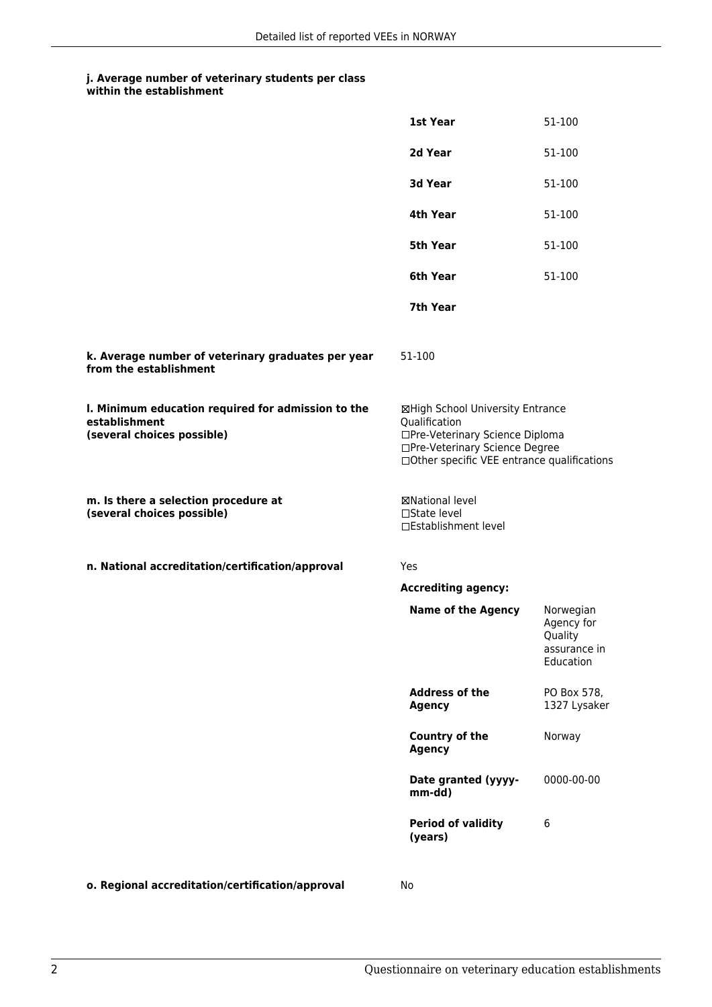## **j. Average number of veterinary students per class**

| within the establishment |  |
|--------------------------|--|
|--------------------------|--|

|                                                                                                   | 1st Year                                                                                                                                                              | 51-100                                                          |
|---------------------------------------------------------------------------------------------------|-----------------------------------------------------------------------------------------------------------------------------------------------------------------------|-----------------------------------------------------------------|
|                                                                                                   | 2d Year                                                                                                                                                               | 51-100                                                          |
|                                                                                                   | 3d Year                                                                                                                                                               | 51-100                                                          |
|                                                                                                   | 4th Year                                                                                                                                                              | 51-100                                                          |
|                                                                                                   | 5th Year                                                                                                                                                              | 51-100                                                          |
|                                                                                                   | 6th Year                                                                                                                                                              | 51-100                                                          |
|                                                                                                   | 7th Year                                                                                                                                                              |                                                                 |
| k. Average number of veterinary graduates per year<br>from the establishment                      | 51-100                                                                                                                                                                |                                                                 |
| I. Minimum education required for admission to the<br>establishment<br>(several choices possible) | ⊠High School University Entrance<br>Qualification<br>□Pre-Veterinary Science Diploma<br>□Pre-Veterinary Science Degree<br>□Other specific VEE entrance qualifications |                                                                 |
| m. Is there a selection procedure at<br>(several choices possible)                                | ⊠National level<br>□State level<br>□Establishment level                                                                                                               |                                                                 |
| n. National accreditation/certification/approval                                                  | <b>Yes</b>                                                                                                                                                            |                                                                 |
|                                                                                                   | <b>Accrediting agency:</b>                                                                                                                                            |                                                                 |
|                                                                                                   | <b>Name of the Agency</b>                                                                                                                                             | Norwegian<br>Agency for<br>Quality<br>assurance in<br>Education |
|                                                                                                   | <b>Address of the</b><br><b>Agency</b>                                                                                                                                | PO Box 578,<br>1327 Lysaker                                     |
|                                                                                                   | Country of the<br><b>Agency</b>                                                                                                                                       | Norway                                                          |
|                                                                                                   | Date granted (yyyy-<br>mm-dd)                                                                                                                                         | 0000-00-00                                                      |
|                                                                                                   | <b>Period of validity</b><br>(years)                                                                                                                                  | 6                                                               |
|                                                                                                   |                                                                                                                                                                       |                                                                 |

**o. Regional accreditation/certification/approval** No